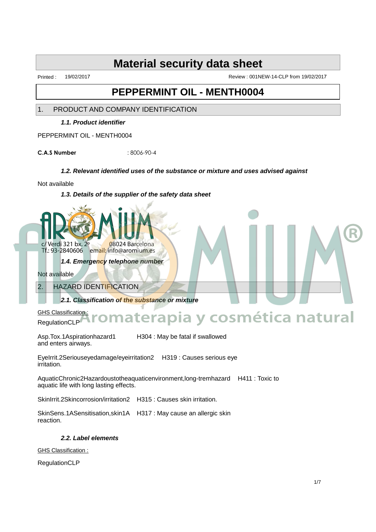Printed : 19/02/2017 Review : 001NEW-14-CLP from 19/02/2017

### **PEPPERMINT OIL - MENTH0004**

1. PRODUCT AND COMPANY IDENTIFICATION

**1.1. Product identifier**

PEPPERMINT OIL - MENTH0004

**C.A.S Number** : 8006-90-4

#### **1.2. Relevant identified uses of the substance or mixture and uses advised against**

Not available

**1.3. Details of the supplier of the safety data sheet**



**1.4. Emergency telephone number**

Not available

2. HAZARD IDENTIFICATION

**2.1. Classification of the substance or mixture**

GHS Classification:

# RegulationCLP tural **Aromaterapia y cosmética natural**

Asp.Tox.1Aspirationhazard1 H304 : May be fatal if swallowed and enters airways.

EyeIrrit.2Seriouseyedamage/eyeirritation2 H319 : Causes serious eye irritation.

AquaticChronic2Hazardoustotheaquaticenvironment,long-tremhazard H411 : Toxic to aquatic life with long lasting effects.

SkinIrrit.2Skincorrosion/irritation2 H315 : Causes skin irritation.

SkinSens.1ASensitisation,skin1A H317 : May cause an allergic skin reaction.

**2.2. Label elements**

GHS Classification :

RegulationCLP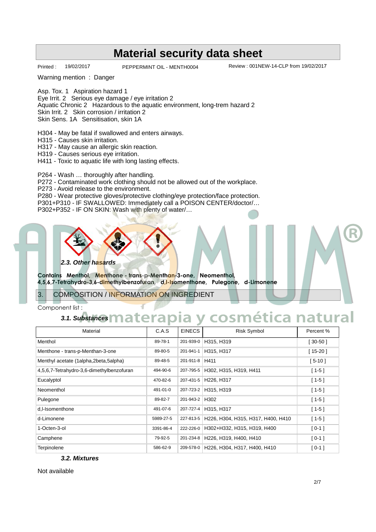Printed : 19/02/2017 PEPPERMINT OIL - MENTH0004 Review : 001NEW-14-CLP from 19/02/2017

Warning mention : Danger

Asp. Tox. 1 Aspiration hazard 1

Eye Irrit. 2 Serious eye damage / eye irritation 2

Aquatic Chronic 2 Hazardous to the aquatic environment, long-trem hazard 2

Skin Irrit. 2 Skin corrosion / irritation 2

Skin Sens. 1A Sensitisation, skin 1A

H304 - May be fatal if swallowed and enters airways.

H315 - Causes skin irritation.

H317 - May cause an allergic skin reaction.

H319 - Causes serious eye irritation.

H411 - Toxic to aquatic life with long lasting effects.

P264 - Wash … thoroughly after handling.

P272 - Contaminated work clothing should not be allowed out of the workplace.

P273 - Avoid release to the environment.

P280 - Wear protective gloves/protective clothing/eye protection/face protection.

P301+P310 - IF SWALLOWED: Immediately call a POISON CENTER/doctor/…

P302+P352 - IF ON SKIN: Wash with plenty of water/…



# **3.1. Substances Aromaterapia y cosmética natural**

| 2.3. Other hasards<br>Contains Menthol, Menthone - trans-p-Menthan-3-one, Neomenthol,<br>4,5,6,7-Tetrahydro-3,6-dimethylbenzofuran, d,I-Isomenthone, Pulegone, d-Limonene |           |                |                                        |            |
|---------------------------------------------------------------------------------------------------------------------------------------------------------------------------|-----------|----------------|----------------------------------------|------------|
| 3.<br><b>COMPOSITION / INFORMATION ON INGREDIENT</b>                                                                                                                      |           |                |                                        |            |
| Component list:                                                                                                                                                           |           |                |                                        |            |
| 3.1. Substances materapia y<br>cosmética natural                                                                                                                          |           |                |                                        |            |
| Material                                                                                                                                                                  | C.A.S     | <b>EINECS</b>  | <b>Risk Symbol</b>                     | Percent %  |
| Menthol                                                                                                                                                                   | 89-78-1   | 201-939-0      | H315, H319                             | $[30-50]$  |
| Menthone - trans-p-Menthan-3-one                                                                                                                                          | 89-80-5   | 201-941-1      | H315, H317                             | $[15-20]$  |
| Menthyl acetate (1alpha,2beta,5alpha)                                                                                                                                     | 89-48-5   | 201-911-8 H411 |                                        | $[5 - 10]$ |
| 4,5,6,7-Tetrahydro-3,6-dimethylbenzofuran                                                                                                                                 | 494-90-6  | 207-795-5      | H302, H315, H319, H411                 | $[1 - 5]$  |
| Eucalyptol                                                                                                                                                                | 470-82-6  | 207-431-5      | H226, H317                             | $[1 - 5]$  |
| Neomenthol                                                                                                                                                                | 491-01-0  | 207-723-2      | H315, H319                             | $[1 - 5]$  |
| Pulegone                                                                                                                                                                  | 89-82-7   | 201-943-2 H302 |                                        | $[1 - 5]$  |
| d.I-Isomenthone                                                                                                                                                           | 491-07-6  | 207-727-4      | H315, H317                             | $[1-5]$    |
| d-Limonene                                                                                                                                                                | 5989-27-5 | 227-813-5      | H226, H304, H315, H317, H400, H410     | $[1 - 5]$  |
| 1-Octen-3-ol                                                                                                                                                              | 3391-86-4 | 222-226-0      | H302+H332, H315, H319, H400            | $[0-1]$    |
| Camphene                                                                                                                                                                  | 79-92-5   | 201-234-8      | H226, H319, H400, H410                 | $[0-1]$    |
| Terpinolene                                                                                                                                                               | 586-62-9  |                | 209-578-0 H226, H304, H317, H400, H410 | $[0-1]$    |
| 3.2. Mixtures                                                                                                                                                             |           |                |                                        |            |
| Not available                                                                                                                                                             |           |                |                                        |            |
|                                                                                                                                                                           |           |                |                                        | 2/7        |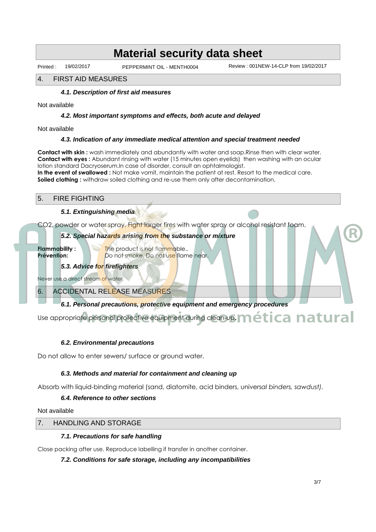Printed : 19/02/2017 PEPPERMINT OIL - MENTH0004 Review : 001NEW-14-CLP from 19/02/2017

#### 4. FIRST AID MEASURES

#### **4.1. Description of first aid measures**

Not available

#### **4.2. Most important symptoms and effects, both acute and delayed**

Not available

#### **4.3. Indication of any immediate medical attention and special treatment needed**

**Contact with skin :** wash immediately and abundantly with water and soap.Rinse then with clear water. **Contact with eyes :** Abundant rinsing with water (15 minutes open eyelids) then washing with an ocular lotion standard Dacryoserum.In case of disorder, consult an ophtalmologist. **In the event of swallowed :** Not make vomit, maintain the patient at rest. Resort to the medical care. **Soiled clothing :** withdraw soiled clothing and re-use them only after decontamination.

#### 5. FIRE FIGHTING

#### **5.1. Extinguishing media**

CO2, powder or water spray. Fight larger fires with water spray or alcohol resistant foam.

#### **5.2. Special hazards arising from the substance or mixture**

**Flammability :** The product is not flammable.. **Prévention:** Do not smoke. Do not use flame near.

**5.3. Advice for firefighters**

Never use a direct stream of water.

6. ACCIDENTAL RELEASE MEASURES

#### **6.1. Personal precautions, protective equipment and emergency procedures**

Use appropriate personal protective equipment during clean-up. **Mética natural** Set Control Control Control Control Control Control Control Control Control Control Control Control Control Control Control Control Control Control Control Control Control Control Control Control Control Control Control Co

#### **6.2. Environmental precautions**

Do not allow to enter sewers/ surface or ground water.

#### **6.3. Methods and material for containment and cleaning up**

Absorb with liquid-binding material (sand, diatomite, acid binders, univers*al binders, sawdust).*

#### **6.4. Reference to other sections**

Not available

#### 7. HANDLING AND STORAGE

#### **7.1. Precautions for safe handling**

Close packing after use. Reproduce labelling if transfer in another container.

#### **7.2. Conditions for safe storage, including any incompatibilities**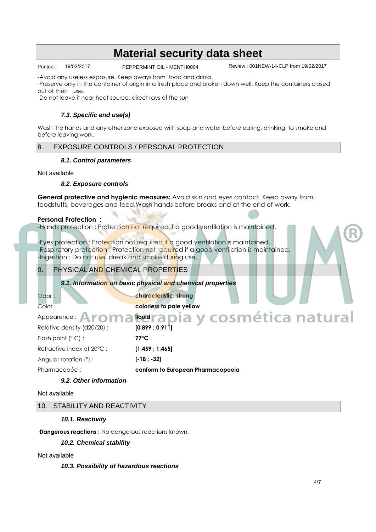Printed : 19/02/2017 PEPPERMINT OIL - MENTH0004 Review : 001NEW-14-CLP from 19/02/2017

-Avoid any useless exposure. Keep aways from food and drinks.

-Preserve only in the container of origin in a fresh place and broken down well. Keep the containers closed out of their use.

-Do not leave it near heat source, direct rays of the sun

#### **7.3. Specific end use(s)**

Wash the hands and any other zone exposed with soap and water before eating, drinking, to smoke and before leaving work.

#### 8. EXPOSURE CONTROLS / PERSONAL PROTECTION

#### **8.1. Control parameters**

Not available

#### **8.2. Exposure controls**

**General protective and hygienic measures:** Avoid skin and eyes contact. Keep away from foodstuffs, beverages and feed.Wash hands before breaks and at the end of work.

#### **Personal Protection :**

-Hands protection : Protection not required if a good ventilation is maintained.

-Eyes protection : Prot<mark>ect</mark>ion not required if a good ventilation is maintained. -Respiratory protecti<mark>on</mark> : Protection not required if a good ventilation is maintained. -Ingestion : Do not use, dreak and smoke during use.

#### 9. PHYSICAL AND CHEMICAL PROPERTIES

**9.1. Information on basic physical and chemical properties**

**Odor : characteristic, strong** Color : **colorless to pale yellow**

Appearence : **Aron** Relative density (d20/20) : **[0.899 ; 0.911]** Flash point (∞ C) : **77∞C** Refractive index at 20∞C : **[1.459 ; 1.465]** Angular rotation ( ) : **[-18 ; -32]** PharmacopÈe : **conform to European Pharmacopoeia** 4/7 **Marapia y cosmética natural** 

#### **9.2. Other information**

#### Not available

#### 10. STABILITY AND REACTIVITY

#### **10.1. Reactivity**

**Dangerous reactions :** No dangerous reactions known.

**10.2. Chemical stability**

#### Not available

#### **10.3. Possibility of hazardous reactions**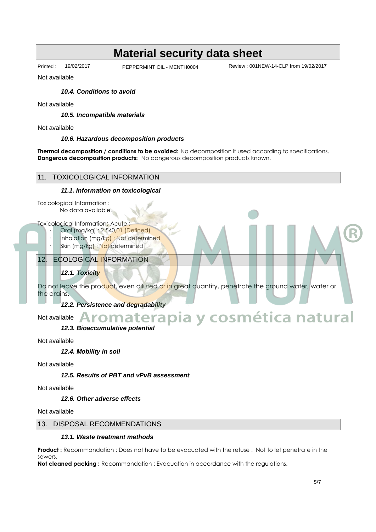Printed : 19/02/2017 PEPPERMINT OIL - MENTH0004 Review : 001NEW-14-CLP from 19/02/2017

Not available

#### **10.4. Conditions to avoid**

Not available

**10.5. Incompatible materials**

Not available

#### **10.6. Hazardous decomposition products**

**Thermal decomposition / conditions to be avoided:** No decomposition if used according to specifications. **Dangerous decomposition products:** No dangerous decomposition products known.



#### **12.6. Other adverse effects**

Not available

#### 13. DISPOSAL RECOMMENDATIONS

#### **13.1. Waste treatment methods**

**Product :** Recommandation : Does not have to be evacuated with the refuse . Not to let penetrate in the sewers.

**Not cleaned packing :** Recommandation : Evacuation in accordance with the regulations.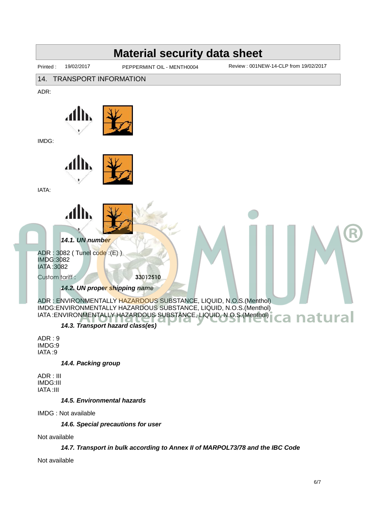

**14.4. Packing group**

ADR : III IMDG:III IATA :III

**14.5. Environmental hazards**

IMDG : Not available

**14.6. Special precautions for user**

Not available

#### **14.7. Transport in bulk according to Annex II of MARPOL73/78 and the IBC Code**

Not available